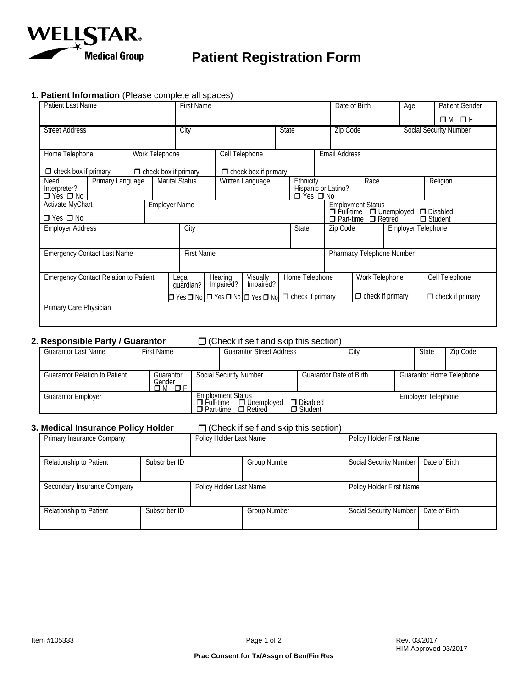

# **Patient Registration Form**

### **1. Patient Information** (Please complete all spaces)

| Patient Last Name                               |                             |  | <b>First Name</b>                         |                      |                                                                                        |  |                      | Date of Birth        |                                                                                                | Age            |  | <b>Patient Gender</b>         |                         |
|-------------------------------------------------|-----------------------------|--|-------------------------------------------|----------------------|----------------------------------------------------------------------------------------|--|----------------------|----------------------|------------------------------------------------------------------------------------------------|----------------|--|-------------------------------|-------------------------|
|                                                 |                             |  |                                           |                      |                                                                                        |  |                      |                      |                                                                                                |                |  |                               | $OM$ OF                 |
| <b>Street Address</b>                           |                             |  | City                                      |                      |                                                                                        |  | <b>State</b>         |                      | <b>Zip Code</b>                                                                                |                |  | <b>Social Security Number</b> |                         |
|                                                 |                             |  |                                           |                      |                                                                                        |  |                      |                      |                                                                                                |                |  |                               |                         |
| Home Telephone<br>Work Telephone                |                             |  | Cell Telephone                            |                      |                                                                                        |  |                      | <b>Email Address</b> |                                                                                                |                |  |                               |                         |
| $\Box$ check box if primary                     | $\Box$ check box if primary |  |                                           |                      | $\Box$ check box if primary                                                            |  |                      |                      |                                                                                                |                |  |                               |                         |
| Need<br>Primary Language<br>Interpreter?        |                             |  | <b>Marital Status</b><br>Written Language |                      |                                                                                        |  | Ethnicity            |                      | Race<br>Hispanic or Latino?                                                                    |                |  |                               | Religion                |
| $\Box$ Yes $\Box$ No                            |                             |  |                                           |                      |                                                                                        |  | $\Box$ Yes $\Box$ No |                      |                                                                                                |                |  |                               |                         |
| <b>Activate MyChart</b><br><b>Employer Name</b> |                             |  |                                           |                      |                                                                                        |  |                      |                      | Employment Status<br><u>O</u> Full-time O Un<br><b>D</b> Disabled<br>□ Unemployed<br>□ Retired |                |  |                               |                         |
| $\Box$ Yes $\Box$ No                            |                             |  |                                           |                      |                                                                                        |  |                      |                      | $\Box$ Student<br>$\Box$ Part-time                                                             |                |  |                               |                         |
| <b>Employer Address</b>                         |                             |  | City<br><b>State</b>                      |                      |                                                                                        |  |                      |                      | Zip Code                                                                                       |                |  | <b>Employer Telephone</b>     |                         |
| <b>Emergency Contact Last Name</b>              |                             |  | <b>First Name</b>                         |                      |                                                                                        |  |                      |                      | Pharmacy Telephone Number                                                                      |                |  |                               |                         |
|                                                 |                             |  |                                           |                      |                                                                                        |  |                      |                      |                                                                                                |                |  |                               |                         |
| <b>Emergency Contact Relation to Patient</b>    |                             |  | Legal<br>guardian?                        | Hearing<br>Impaired? | Visually<br>Impairéd?                                                                  |  | Home Telephone       |                      |                                                                                                | Work Telephone |  |                               | Cell Telephone          |
|                                                 |                             |  |                                           |                      | $\Box$ Yes $\Box$ No $\Box$ Yes $\Box$ No $\Box$ Yes $\Box$ No $\Box$ check if primary |  |                      |                      | $\Box$ check if primary                                                                        |                |  |                               | $\Box$ check if primary |
| Primary Care Physician                          |                             |  |                                           |                      |                                                                                        |  |                      |                      |                                                                                                |                |  |                               |                         |
|                                                 |                             |  |                                           |                      |                                                                                        |  |                      |                      |                                                                                                |                |  |                               |                         |

#### **2. Responsible Party / Guarantor** (Check if self and skip this section)

| Guarantor Last Name                  | <b>First Name</b>          |                                                                                                                                                 | <b>Guarantor Street Address</b> | City |                                | <b>State</b>       | Zip Code                        |  |  |
|--------------------------------------|----------------------------|-------------------------------------------------------------------------------------------------------------------------------------------------|---------------------------------|------|--------------------------------|--------------------|---------------------------------|--|--|
|                                      |                            |                                                                                                                                                 |                                 |      |                                |                    |                                 |  |  |
| <b>Guarantor Relation to Patient</b> | Guarantor<br>Gender<br>i M |                                                                                                                                                 | Social Security Number          |      | <b>Guarantor Date of Birth</b> |                    | <b>Guarantor Home Telephone</b> |  |  |
| <b>Guarantor Employer</b>            |                            | <b>Employment Status</b><br>$\Box$ Disabled<br>$\Box$ Unemploved<br>Full-time<br><b>□</b> Student<br>$\Box$ Part-time<br>$\blacksquare$ Retired |                                 |      |                                | Employer Telephone |                                 |  |  |

### **3.** Medical Insurance Policy Holder **Guarantee Collect** if self and skip this section)

| Primary Insurance Company   |               | Policy Holder Last Name |                     | Policy Holder First Name      |               |  |  |
|-----------------------------|---------------|-------------------------|---------------------|-------------------------------|---------------|--|--|
|                             |               |                         |                     |                               |               |  |  |
| Relationship to Patient     | Subscriber ID |                         | <b>Group Number</b> | Social Security Number        | Date of Birth |  |  |
|                             |               |                         |                     |                               |               |  |  |
| Secondary Insurance Company |               | Policy Holder Last Name |                     | Policy Holder First Name      |               |  |  |
|                             |               |                         |                     |                               |               |  |  |
| Relationship to Patient     | Subscriber ID |                         | <b>Group Number</b> | <b>Social Security Number</b> | Date of Birth |  |  |
|                             |               |                         |                     |                               |               |  |  |